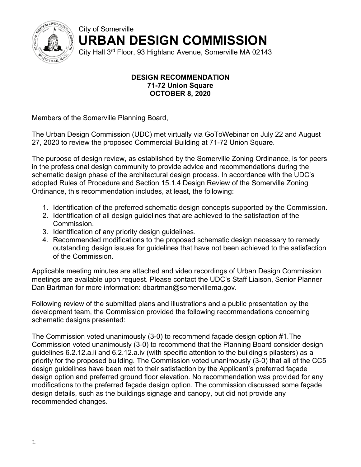

City of Somerville **URBAN DESIGN COMMISSION** 

City Hall 3rd Floor, 93 Highland Avenue, Somerville MA 02143

## **DESIGN RECOMMENDATION 71-72 Union Square OCTOBER 8, 2020**

Members of the Somerville Planning Board,

The Urban Design Commission (UDC) met virtually via GoToWebinar on July 22 and August 27, 2020 to review the proposed Commercial Building at 71-72 Union Square.

The purpose of design review, as established by the Somerville Zoning Ordinance, is for peers in the professional design community to provide advice and recommendations during the schematic design phase of the architectural design process. In accordance with the UDC's adopted Rules of Procedure and Section 15.1.4 Design Review of the Somerville Zoning Ordinance, this recommendation includes, at least, the following:

- 1. Identification of the preferred schematic design concepts supported by the Commission.
- 2. Identification of all design guidelines that are achieved to the satisfaction of the Commission.
- 3. Identification of any priority design guidelines.
- 4. Recommended modifications to the proposed schematic design necessary to remedy outstanding design issues for guidelines that have not been achieved to the satisfaction of the Commission.

Applicable meeting minutes are attached and video recordings of Urban Design Commission meetings are available upon request. Please contact the UDC's Staff Liaison, Senior Planner Dan Bartman for more information: dbartman@somervillema.gov.

Following review of the submitted plans and illustrations and a public presentation by the development team, the Commission provided the following recommendations concerning schematic designs presented:

The Commission voted unanimously (3-0) to recommend façade design option #1.The Commission voted unanimously (3-0) to recommend that the Planning Board consider design guidelines 6.2.12.a.ii and 6.2.12.a.iv (with specific attention to the building's pilasters) as a priority for the proposed building. The Commission voted unanimously (3-0) that all of the CC5 design guidelines have been met to their satisfaction by the Applicant's preferred façade design option and preferred ground floor elevation. No recommendation was provided for any modifications to the preferred façade design option. The commission discussed some façade design details, such as the buildings signage and canopy, but did not provide any recommended changes.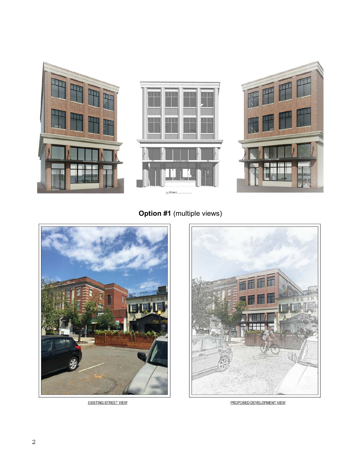

**Option #1** (multiple views)



**EXISTING STREET VIEW** 



PROPOSED DEVELOPMENT VIEW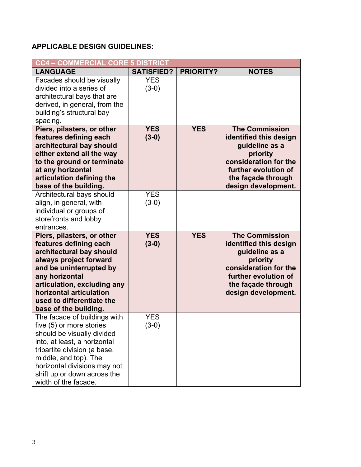## **APPLICABLE DESIGN GUIDELINES:**

| <b>CC4 - COMMERCIAL CORE 5 DISTRICT</b>                                                                                                                                                                                                                                 |                       |                  |                                                                                                                                                                             |  |  |  |
|-------------------------------------------------------------------------------------------------------------------------------------------------------------------------------------------------------------------------------------------------------------------------|-----------------------|------------------|-----------------------------------------------------------------------------------------------------------------------------------------------------------------------------|--|--|--|
| <b>LANGUAGE</b>                                                                                                                                                                                                                                                         | <b>SATISFIED?</b>     | <b>PRIORITY?</b> | <b>NOTES</b>                                                                                                                                                                |  |  |  |
| Facades should be visually<br>divided into a series of<br>architectural bays that are<br>derived, in general, from the<br>building's structural bay<br>spacing.                                                                                                         | <b>YES</b><br>$(3-0)$ |                  |                                                                                                                                                                             |  |  |  |
| Piers, pilasters, or other<br>features defining each<br>architectural bay should<br>either extend all the way<br>to the ground or terminate<br>at any horizontal<br>articulation defining the<br>base of the building.                                                  | <b>YES</b><br>$(3-0)$ | <b>YES</b>       | <b>The Commission</b><br>identified this design<br>guideline as a<br>priority<br>consideration for the<br>further evolution of<br>the façade through<br>design development. |  |  |  |
| Architectural bays should<br>align, in general, with<br>individual or groups of<br>storefronts and lobby<br>entrances.                                                                                                                                                  | <b>YES</b><br>$(3-0)$ |                  |                                                                                                                                                                             |  |  |  |
| Piers, pilasters, or other<br>features defining each<br>architectural bay should<br>always project forward<br>and be uninterrupted by<br>any horizontal<br>articulation, excluding any<br>horizontal articulation<br>used to differentiate the<br>base of the building. | <b>YES</b><br>$(3-0)$ | <b>YES</b>       | <b>The Commission</b><br>identified this design<br>guideline as a<br>priority<br>consideration for the<br>further evolution of<br>the façade through<br>design development. |  |  |  |
| The facade of buildings with<br>five (5) or more stories<br>should be visually divided<br>into, at least, a horizontal<br>tripartite division (a base,<br>middle, and top). The<br>horizontal divisions may not<br>shift up or down across the<br>width of the facade.  | <b>YES</b><br>$(3-0)$ |                  |                                                                                                                                                                             |  |  |  |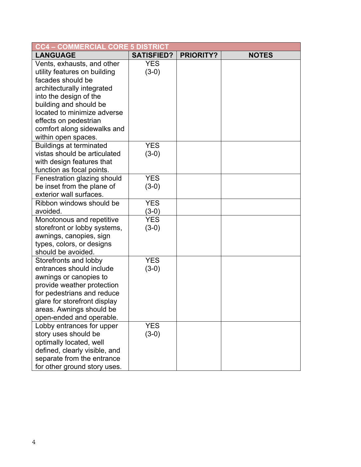| <b>CC4 - COMMERCIAL CORE 5 DISTRICT</b>                                                                                                                                                                                                                  |                       |                  |              |  |  |  |  |
|----------------------------------------------------------------------------------------------------------------------------------------------------------------------------------------------------------------------------------------------------------|-----------------------|------------------|--------------|--|--|--|--|
| <b>LANGUAGE</b>                                                                                                                                                                                                                                          | <b>SATISFIED?</b>     | <b>PRIORITY?</b> | <b>NOTES</b> |  |  |  |  |
| Vents, exhausts, and other<br>utility features on building<br>facades should be<br>architecturally integrated<br>into the design of the<br>building and should be<br>located to minimize adverse<br>effects on pedestrian<br>comfort along sidewalks and | <b>YES</b><br>$(3-0)$ |                  |              |  |  |  |  |
| within open spaces.<br><b>Buildings at terminated</b><br>vistas should be articulated<br>with design features that<br>function as focal points.                                                                                                          | <b>YES</b><br>$(3-0)$ |                  |              |  |  |  |  |
| Fenestration glazing should<br>be inset from the plane of<br>exterior wall surfaces.                                                                                                                                                                     | <b>YES</b><br>$(3-0)$ |                  |              |  |  |  |  |
| Ribbon windows should be<br>avoided.                                                                                                                                                                                                                     | <b>YES</b><br>$(3-0)$ |                  |              |  |  |  |  |
| Monotonous and repetitive<br>storefront or lobby systems,<br>awnings, canopies, sign<br>types, colors, or designs<br>should be avoided.                                                                                                                  | <b>YES</b><br>$(3-0)$ |                  |              |  |  |  |  |
| Storefronts and lobby<br>entrances should include<br>awnings or canopies to<br>provide weather protection<br>for pedestrians and reduce<br>glare for storefront display<br>areas. Awnings should be<br>open-ended and operable.                          | <b>YES</b><br>$(3-0)$ |                  |              |  |  |  |  |
| Lobby entrances for upper<br>story uses should be<br>optimally located, well<br>defined, clearly visible, and<br>separate from the entrance<br>for other ground story uses.                                                                              | <b>YES</b><br>$(3-0)$ |                  |              |  |  |  |  |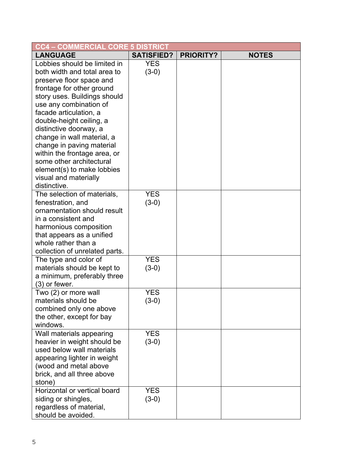| <b>CC4 – COMMERCIAL CORE 5 DISTRICT</b>                                                                                                                                                                                                                                                                                                                                                                                                       |                       |                  |              |
|-----------------------------------------------------------------------------------------------------------------------------------------------------------------------------------------------------------------------------------------------------------------------------------------------------------------------------------------------------------------------------------------------------------------------------------------------|-----------------------|------------------|--------------|
| <b>LANGUAGE</b>                                                                                                                                                                                                                                                                                                                                                                                                                               | <b>SATISFIED?</b>     | <b>PRIORITY?</b> | <b>NOTES</b> |
| Lobbies should be limited in<br>both width and total area to<br>preserve floor space and<br>frontage for other ground<br>story uses. Buildings should<br>use any combination of<br>facade articulation, a<br>double-height ceiling, a<br>distinctive doorway, a<br>change in wall material, a<br>change in paving material<br>within the frontage area, or<br>some other architectural<br>element(s) to make lobbies<br>visual and materially | <b>YES</b><br>$(3-0)$ |                  |              |
| distinctive.<br>The selection of materials,<br>fenestration, and<br>ornamentation should result<br>in a consistent and<br>harmonious composition<br>that appears as a unified<br>whole rather than a<br>collection of unrelated parts.                                                                                                                                                                                                        | <b>YES</b><br>$(3-0)$ |                  |              |
| The type and color of<br>materials should be kept to<br>a minimum, preferably three<br>$(3)$ or fewer.                                                                                                                                                                                                                                                                                                                                        | <b>YES</b><br>$(3-0)$ |                  |              |
| Two (2) or more wall<br>materials should be<br>combined only one above<br>the other, except for bay<br>windows.                                                                                                                                                                                                                                                                                                                               | <b>YES</b><br>$(3-0)$ |                  |              |
| Wall materials appearing<br>heavier in weight should be<br>used below wall materials<br>appearing lighter in weight<br>(wood and metal above<br>brick, and all three above<br>stone)                                                                                                                                                                                                                                                          | <b>YES</b><br>$(3-0)$ |                  |              |
| Horizontal or vertical board<br>siding or shingles,<br>regardless of material,<br>should be avoided.                                                                                                                                                                                                                                                                                                                                          | <b>YES</b><br>$(3-0)$ |                  |              |